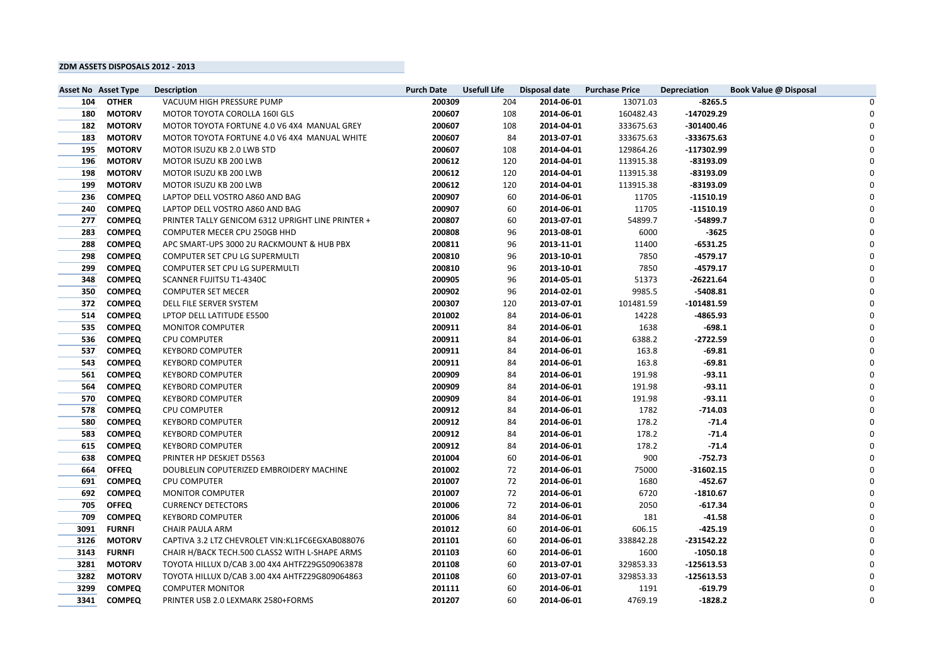|      | <b>Asset No Asset Type</b> | <b>Description</b>                                | <b>Purch Date</b> | <b>Usefull Life</b> | <b>Disposal date</b> | <b>Purchase Price</b> | <b>Depreciation</b> | <b>Book Value @ Disposal</b> |  |
|------|----------------------------|---------------------------------------------------|-------------------|---------------------|----------------------|-----------------------|---------------------|------------------------------|--|
| 104  | <b>OTHER</b>               | VACUUM HIGH PRESSURE PUMP                         | 200309            | 204                 | 2014-06-01           | 13071.03              | $-8265.5$           |                              |  |
| 180  | <b>MOTORV</b>              | MOTOR TOYOTA COROLLA 160I GLS                     | 200607            | 108                 | 2014-06-01           | 160482.43             | -147029.29          |                              |  |
| 182  | <b>MOTORV</b>              | MOTOR TOYOTA FORTUNE 4.0 V6 4X4 MANUAL GREY       | 200607            | 108                 | 2014-04-01           | 333675.63             | $-301400.46$        |                              |  |
| 183  | <b>MOTORV</b>              | MOTOR TOYOTA FORTUNE 4.0 V6 4X4 MANUAL WHITE      | 200607            | 84                  | 2013-07-01           | 333675.63             | -333675.63          |                              |  |
| 195  | <b>MOTORV</b>              | MOTOR ISUZU KB 2.0 LWB STD                        | 200607            | 108                 | 2014-04-01           | 129864.26             | $-117302.99$        |                              |  |
| 196  | <b>MOTORV</b>              | MOTOR ISUZU KB 200 LWB                            | 200612            | 120                 | 2014-04-01           | 113915.38             | $-83193.09$         |                              |  |
| 198  | <b>MOTORV</b>              | MOTOR ISUZU KB 200 LWB                            | 200612            | 120                 | 2014-04-01           | 113915.38             | $-83193.09$         |                              |  |
| 199  | <b>MOTORV</b>              | MOTOR ISUZU KB 200 LWB                            | 200612            | 120                 | 2014-04-01           | 113915.38             | $-83193.09$         |                              |  |
| 236  | <b>COMPEQ</b>              | LAPTOP DELL VOSTRO A860 AND BAG                   | 200907            | 60                  | 2014-06-01           | 11705                 | $-11510.19$         |                              |  |
| 240  | <b>COMPEQ</b>              | LAPTOP DELL VOSTRO A860 AND BAG                   | 200907            | 60                  | 2014-06-01           | 11705                 | $-11510.19$         |                              |  |
| 277  | <b>COMPEQ</b>              | PRINTER TALLY GENICOM 6312 UPRIGHT LINE PRINTER + | 200807            | 60                  | 2013-07-01           | 54899.7               | $-54899.7$          |                              |  |
| 283  | <b>COMPEQ</b>              | COMPUTER MECER CPU 250GB HHD                      | 200808            | 96                  | 2013-08-01           | 6000                  | $-3625$             |                              |  |
| 288  | <b>COMPEQ</b>              | APC SMART-UPS 3000 2U RACKMOUNT & HUB PBX         | 200811            | 96                  | 2013-11-01           | 11400                 | $-6531.25$          |                              |  |
| 298  | <b>COMPEQ</b>              | COMPUTER SET CPU LG SUPERMULTI                    | 200810            | 96                  | 2013-10-01           | 7850                  | $-4579.17$          |                              |  |
| 299  | <b>COMPEQ</b>              | COMPUTER SET CPU LG SUPERMULTI                    | 200810            | 96                  | 2013-10-01           | 7850                  | $-4579.17$          |                              |  |
| 348  | <b>COMPEQ</b>              | SCANNER FUJITSU T1-4340C                          | 200905            | 96                  | 2014-05-01           | 51373                 | $-26221.64$         |                              |  |
| 350  | <b>COMPEQ</b>              | <b>COMPUTER SET MECER</b>                         | 200902            | 96                  | 2014-02-01           | 9985.5                | $-5408.81$          |                              |  |
| 372  | <b>COMPEQ</b>              | DELL FILE SERVER SYSTEM                           | 200307            | 120                 | 2013-07-01           | 101481.59             | $-101481.59$        |                              |  |
| 514  | <b>COMPEQ</b>              | LPTOP DELL LATITUDE E5500                         | 201002            | 84                  | 2014-06-01           | 14228                 | $-4865.93$          |                              |  |
| 535  | <b>COMPEQ</b>              | <b>MONITOR COMPUTER</b>                           | 200911            | 84                  | 2014-06-01           | 1638                  | $-698.1$            |                              |  |
| 536  | <b>COMPEQ</b>              | <b>CPU COMPUTER</b>                               | 200911            | 84                  | 2014-06-01           | 6388.2                | $-2722.59$          |                              |  |
| 537  | <b>COMPEQ</b>              | <b>KEYBORD COMPUTER</b>                           | 200911            | 84                  | 2014-06-01           | 163.8                 | $-69.81$            |                              |  |
| 543  | <b>COMPEQ</b>              | <b>KEYBORD COMPUTER</b>                           | 200911            | 84                  | 2014-06-01           | 163.8                 | $-69.81$            |                              |  |
| 561  | <b>COMPEQ</b>              | <b>KEYBORD COMPUTER</b>                           | 200909            | 84                  | 2014-06-01           | 191.98                | $-93.11$            |                              |  |
| 564  | <b>COMPEQ</b>              | <b>KEYBORD COMPUTER</b>                           | 200909            | 84                  | 2014-06-01           | 191.98                | $-93.11$            |                              |  |
| 570  | <b>COMPEQ</b>              | <b>KEYBORD COMPUTER</b>                           | 200909            | 84                  | 2014-06-01           | 191.98                | $-93.11$            |                              |  |
| 578  | <b>COMPEQ</b>              | <b>CPU COMPUTER</b>                               | 200912            | 84                  | 2014-06-01           | 1782                  | $-714.03$           |                              |  |
| 580  | <b>COMPEQ</b>              | <b>KEYBORD COMPUTER</b>                           | 200912            | 84                  | 2014-06-01           | 178.2                 | $-71.4$             |                              |  |
| 583  | <b>COMPEQ</b>              | <b>KEYBORD COMPUTER</b>                           | 200912            | 84                  | 2014-06-01           | 178.2                 | $-71.4$             |                              |  |
| 615  | <b>COMPEQ</b>              | <b>KEYBORD COMPUTER</b>                           | 200912            | 84                  | 2014-06-01           | 178.2                 | $-71.4$             |                              |  |
| 638  | <b>COMPEQ</b>              | PRINTER HP DESKJET D5563                          | 201004            | 60                  | 2014-06-01           | 900                   | $-752.73$           |                              |  |
| 664  | <b>OFFEQ</b>               | DOUBLELIN COPUTERIZED EMBROIDERY MACHINE          | 201002            | 72                  | 2014-06-01           | 75000                 | $-31602.15$         |                              |  |
| 691  | <b>COMPEQ</b>              | <b>CPU COMPUTER</b>                               | 201007            | 72                  | 2014-06-01           | 1680                  | $-452.67$           |                              |  |
| 692  | <b>COMPEQ</b>              | <b>MONITOR COMPUTER</b>                           | 201007            | 72                  | 2014-06-01           | 6720                  | $-1810.67$          |                              |  |
| 705  | <b>OFFEQ</b>               | <b>CURRENCY DETECTORS</b>                         | 201006            | 72                  | 2014-06-01           | 2050                  | $-617.34$           |                              |  |
| 709  | <b>COMPEQ</b>              | <b>KEYBORD COMPUTER</b>                           | 201006            | 84                  | 2014-06-01           | 181                   | $-41.58$            |                              |  |
| 3091 | <b>FURNFI</b>              | <b>CHAIR PAULA ARM</b>                            | 201012            | 60                  | 2014-06-01           | 606.15                | $-425.19$           |                              |  |
| 3126 | <b>MOTORV</b>              | CAPTIVA 3.2 LTZ CHEVROLET VIN: KL1FC6EGXAB088076  | 201101            | 60                  | 2014-06-01           | 338842.28             | $-231542.22$        |                              |  |
| 3143 | <b>FURNFI</b>              | CHAIR H/BACK TECH.500 CLASS2 WITH L-SHAPE ARMS    | 201103            | 60                  | 2014-06-01           | 1600                  | $-1050.18$          |                              |  |
| 3281 | <b>MOTORV</b>              | TOYOTA HILLUX D/CAB 3.00 4X4 AHTFZ29G509063878    | 201108            | 60                  | 2013-07-01           | 329853.33             | $-125613.53$        |                              |  |
| 3282 | <b>MOTORV</b>              | TOYOTA HILLUX D/CAB 3.00 4X4 AHTFZ29G809064863    | 201108            | 60                  | 2013-07-01           | 329853.33             | $-125613.53$        |                              |  |
| 3299 | <b>COMPEQ</b>              | <b>COMPUTER MONITOR</b>                           | 201111            | 60                  | 2014-06-01           | 1191                  | $-619.79$           |                              |  |
| 3341 | <b>COMPEQ</b>              | PRINTER USB 2.0 LEXMARK 2580+FORMS                | 201207            | 60                  | 2014-06-01           | 4769.19               | $-1828.2$           |                              |  |